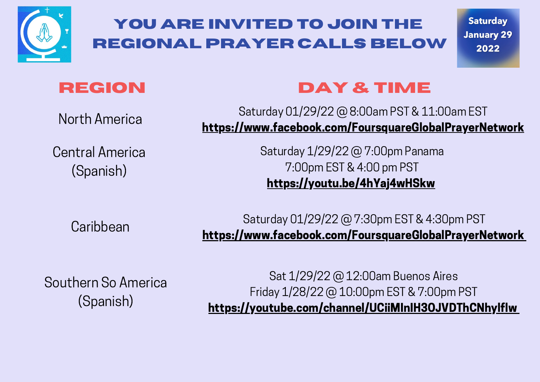

**Saturday January 29** 2022

## **REGION**

North America

Central America (Spanish)

# **day & time**

Saturday 01/29/22 @ 8:00am PST & 11:00am EST <https://www.facebook.com/FoursquareGlobalPrayerNetwork>

> Saturday 1/29/22 @ 7:00pm Panama 7:00pm EST & 4:00 pm PST <https://youtu.be/4hYaj4wHSkw>

**Caribbean** 

Saturday 01/29/22 @ 7:30pm EST & 4:30pm PST [https://www.facebook.com/FoursquareGlobalPrayerNetwork](https://youtu.be/4hYaj4wHSkw)

Southern So America (Spanish)

Sat 1/29/22 @ 12:00am Buenos Aires Friday 1/28/22 @ 10:00pm EST & 7:00pm PST [https://youtube.com/channel/UCiiMInIH3OJVDThCNhylflw](https://youtu.be/4hYaj4wHSkw)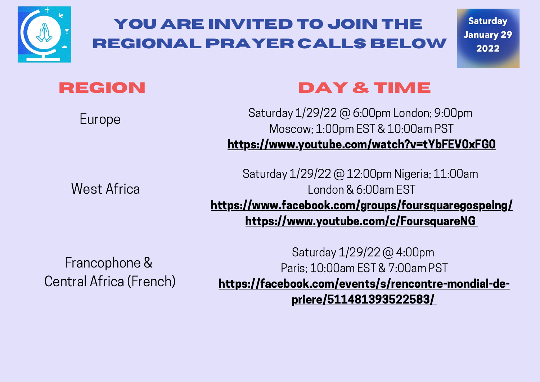

**Saturday January 29** 2022

#### **REGION**

Europe

West Africa

#### **day & time**

Saturday 1/29/22 @ 6:00pm London; 9:00pm Moscow; 1:00pm EST & 10:00am PST [https://www.youtube.com/watch?v=tYbFEV0xFG0](https://www.facebook.com/FoursquareGlobalPrayerNetwork)

Saturday 1/29/22 @ 12:00pm Nigeria; 11:00am London & 6:00am EST [https://www.facebook.com/groups/foursquaregospelng/](https://www.facebook.com/FoursquareGlobalPrayerNetwork) [https://www.youtube.com/c/FoursquareNG](https://www.facebook.com/FoursquareGlobalPrayerNetwork)

Francophone & Central Africa (French)

Saturday 1/29/22 @ 4:00pm Paris; 10:00am EST & 7:00am PST [https://facebook.com/events/s/rencontre-mondial-de](https://www.facebook.com/FoursquareGlobalPrayerNetwork)priere/511481393522583[/](https://www.facebook.com/FoursquareGlobalPrayerNetwork)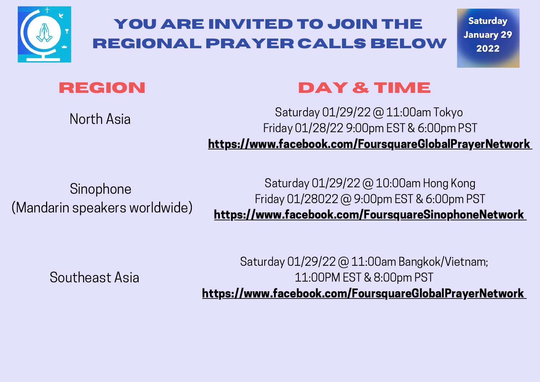

**Saturday January 29** 2022



## **day & time**

North Asia

#### Saturday 01/29/22 @ 11:00am Tokyo Friday 01/28/22 9:00pm EST & 6:00pm PST <https://www.facebook.com/FoursquareGlobalPrayerNetwork>

Sinophone (Mandarin speakers worldwide)

Saturday 01/29/22 @ 10:00am Hong Kong Friday 01/28022 @ 9:00pm EST & 6:00pm PST [https://www.facebook.com/FoursquareSinophoneNetwork](https://www.facebook.com/FoursquareGlobalPrayerNetwork)

Southeast Asia

Saturday 01/29/22 @ 11:00am Bangkok/Vietnam; 11:00PM EST & 8:00pm PST <https://www.facebook.com/FoursquareGlobalPrayerNetwork>